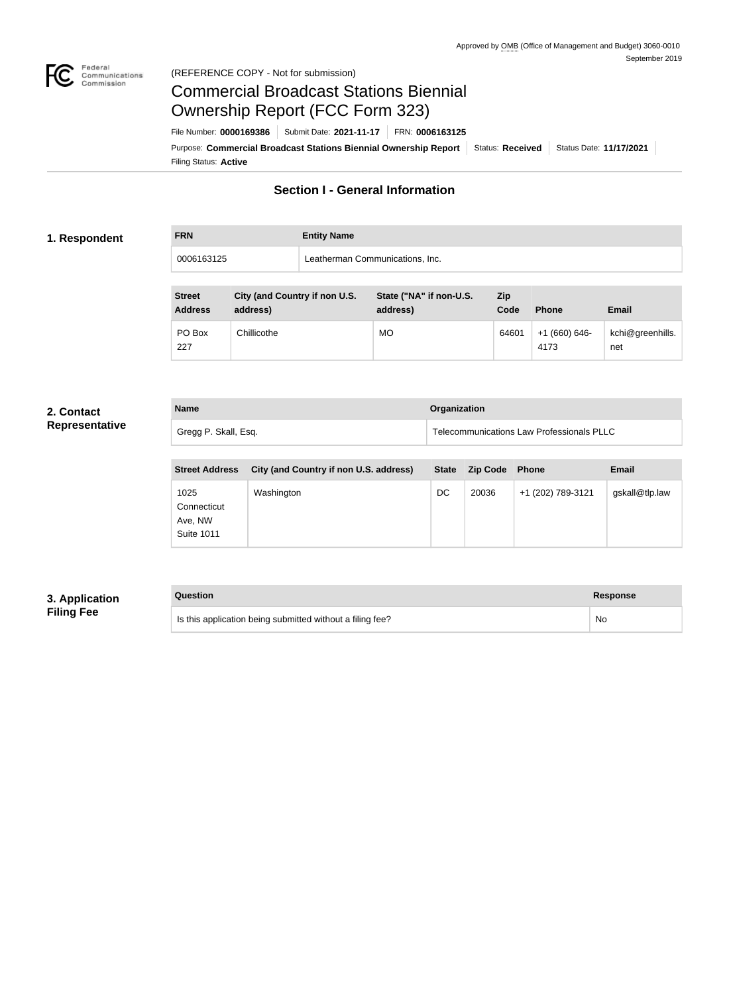

### Federal<br>Communications<br>Commission (REFERENCE COPY - Not for submission)

## Commercial Broadcast Stations Biennial Ownership Report (FCC Form 323)

Filing Status: **Active** Purpose: Commercial Broadcast Stations Biennial Ownership Report Status: Received Status Date: 11/17/2021 File Number: **0000169386** Submit Date: **2021-11-17** FRN: **0006163125**

## **Section I - General Information**

### **1. Respondent**

**FRN Entity Name** 0006163125 Leatherman Communications, Inc.

| <b>Street</b><br><b>Address</b> | City (and Country if non U.S.<br>address) | State ("NA" if non-U.S.<br>address) | <b>Zip</b><br>Code | <b>Phone</b>          | <b>Email</b>            |
|---------------------------------|-------------------------------------------|-------------------------------------|--------------------|-----------------------|-------------------------|
| PO Box<br>227                   | Chillicothe                               | <b>MO</b>                           | 64601              | $+1(660)646-$<br>4173 | kchi@greenhills.<br>net |

#### **2. Contact Representative**

| <b>Name</b>          | <b>Organization</b>                       |
|----------------------|-------------------------------------------|
| Gregg P. Skall, Esq. | Telecommunications Law Professionals PLLC |

| <b>Street Address</b>                               | City (and Country if non U.S. address) | <b>State</b> | <b>Zip Code</b> | <b>Phone</b>      | Email          |
|-----------------------------------------------------|----------------------------------------|--------------|-----------------|-------------------|----------------|
| 1025<br>Connecticut<br>Ave, NW<br><b>Suite 1011</b> | Washington                             | DC           | 20036           | +1 (202) 789-3121 | gskall@tlp.law |

## **3. Application Filing Fee**

| Question                                                  | Response |
|-----------------------------------------------------------|----------|
| Is this application being submitted without a filing fee? | No       |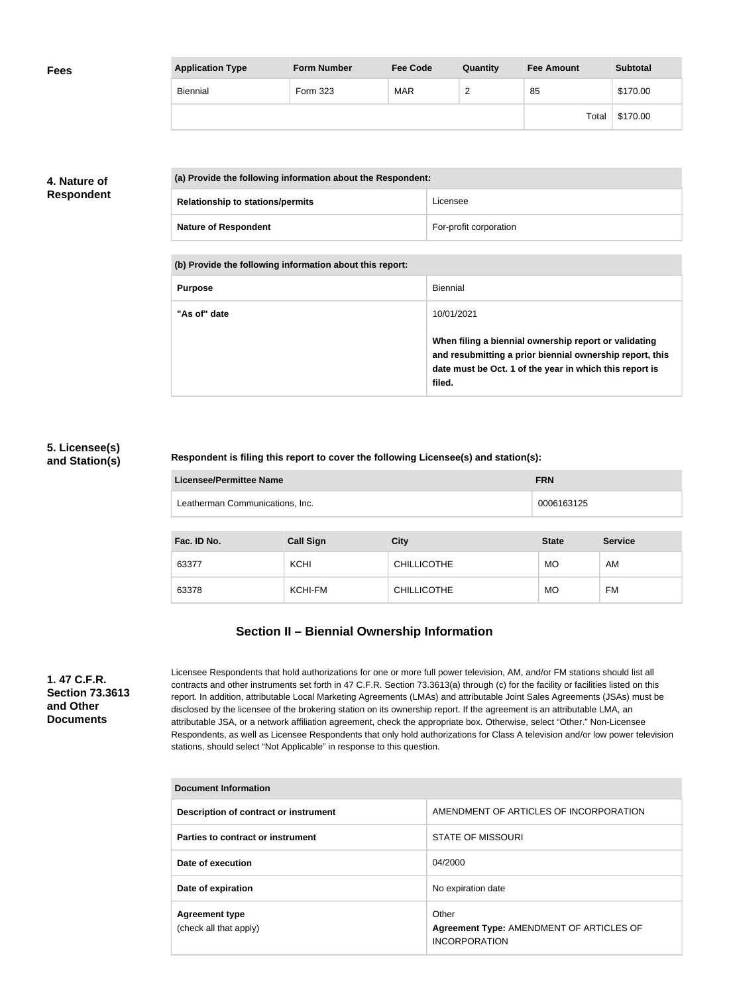| <b>Fees</b> | <b>Application Type</b> | <b>Form Number</b> | <b>Fee Code</b> | Quantity               | <b>Fee Amount</b> | <b>Subtotal</b> |
|-------------|-------------------------|--------------------|-----------------|------------------------|-------------------|-----------------|
|             | Biennial                | Form 323           | <b>MAR</b>      | $\sqrt{2}$<br><u>_</u> | 85                | \$170.00        |
|             |                         |                    |                 |                        | Total             | \$170.00        |

## **4. Nature of Respondent**

| (a) Provide the following information about the Respondent: |                        |
|-------------------------------------------------------------|------------------------|
| <b>Relationship to stations/permits</b>                     | Licensee               |
| <b>Nature of Respondent</b>                                 | For-profit corporation |

**(b) Provide the following information about this report:**

| <b>Purpose</b> | Biennial                                                                                                                                                                               |
|----------------|----------------------------------------------------------------------------------------------------------------------------------------------------------------------------------------|
| "As of" date   | 10/01/2021                                                                                                                                                                             |
|                | When filing a biennial ownership report or validating<br>and resubmitting a prior biennial ownership report, this<br>date must be Oct. 1 of the year in which this report is<br>filed. |

## **5. Licensee(s) and Station(s)**

### **Respondent is filing this report to cover the following Licensee(s) and station(s):**

| Licensee/Permittee Name         | <b>FRN</b> |
|---------------------------------|------------|
| Leatherman Communications, Inc. | 0006163125 |

| Fac. ID No. | <b>Call Sign</b> | <b>City</b>        | <b>State</b> | <b>Service</b> |
|-------------|------------------|--------------------|--------------|----------------|
| 63377       | <b>KCHI</b>      | <b>CHILLICOTHE</b> | <b>MO</b>    | AM             |
| 63378       | KCHI-FM          | <b>CHILLICOTHE</b> | <b>MO</b>    | <b>FM</b>      |

## **Section II – Biennial Ownership Information**

**1. 47 C.F.R. Section 73.3613 and Other Documents**

Licensee Respondents that hold authorizations for one or more full power television, AM, and/or FM stations should list all contracts and other instruments set forth in 47 C.F.R. Section 73.3613(a) through (c) for the facility or facilities listed on this report. In addition, attributable Local Marketing Agreements (LMAs) and attributable Joint Sales Agreements (JSAs) must be disclosed by the licensee of the brokering station on its ownership report. If the agreement is an attributable LMA, an attributable JSA, or a network affiliation agreement, check the appropriate box. Otherwise, select "Other." Non-Licensee Respondents, as well as Licensee Respondents that only hold authorizations for Class A television and/or low power television stations, should select "Not Applicable" in response to this question.

| <b>Document Information</b>                     |                                                                           |  |
|-------------------------------------------------|---------------------------------------------------------------------------|--|
| Description of contract or instrument           | AMENDMENT OF ARTICLES OF INCORPORATION                                    |  |
| Parties to contract or instrument               | STATE OF MISSOURI                                                         |  |
| Date of execution                               | 04/2000                                                                   |  |
| Date of expiration                              | No expiration date                                                        |  |
| <b>Agreement type</b><br>(check all that apply) | Other<br>Agreement Type: AMENDMENT OF ARTICLES OF<br><b>INCORPORATION</b> |  |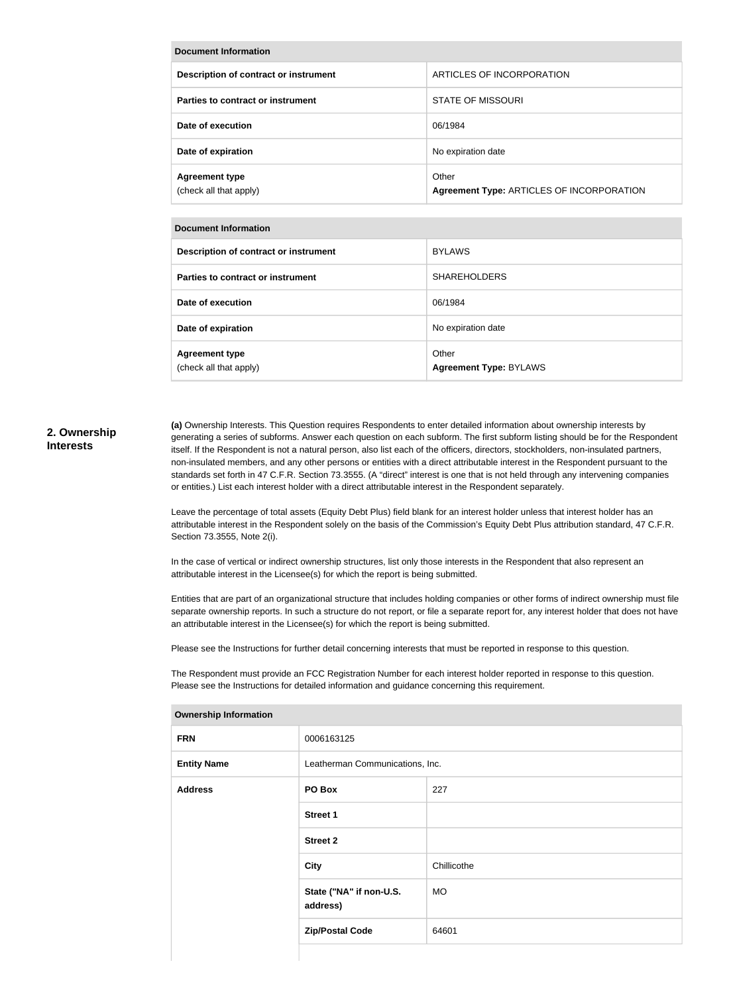| <b>Document Information</b>                     |                                                    |  |
|-------------------------------------------------|----------------------------------------------------|--|
| Description of contract or instrument           | ARTICLES OF INCORPORATION                          |  |
| Parties to contract or instrument               | <b>STATE OF MISSOURI</b>                           |  |
| Date of execution                               | 06/1984                                            |  |
| Date of expiration                              | No expiration date                                 |  |
| <b>Agreement type</b><br>(check all that apply) | Other<br>Agreement Type: ARTICLES OF INCORPORATION |  |

| <b>Document Information</b>                     |                                        |  |
|-------------------------------------------------|----------------------------------------|--|
| Description of contract or instrument           | <b>BYLAWS</b>                          |  |
| Parties to contract or instrument               | <b>SHAREHOLDERS</b>                    |  |
| Date of execution                               | 06/1984                                |  |
| Date of expiration                              | No expiration date                     |  |
| <b>Agreement type</b><br>(check all that apply) | Other<br><b>Agreement Type: BYLAWS</b> |  |

#### **2. Ownership Interests**

**(a)** Ownership Interests. This Question requires Respondents to enter detailed information about ownership interests by generating a series of subforms. Answer each question on each subform. The first subform listing should be for the Respondent itself. If the Respondent is not a natural person, also list each of the officers, directors, stockholders, non-insulated partners, non-insulated members, and any other persons or entities with a direct attributable interest in the Respondent pursuant to the standards set forth in 47 C.F.R. Section 73.3555. (A "direct" interest is one that is not held through any intervening companies or entities.) List each interest holder with a direct attributable interest in the Respondent separately.

Leave the percentage of total assets (Equity Debt Plus) field blank for an interest holder unless that interest holder has an attributable interest in the Respondent solely on the basis of the Commission's Equity Debt Plus attribution standard, 47 C.F.R. Section 73.3555, Note 2(i).

In the case of vertical or indirect ownership structures, list only those interests in the Respondent that also represent an attributable interest in the Licensee(s) for which the report is being submitted.

Entities that are part of an organizational structure that includes holding companies or other forms of indirect ownership must file separate ownership reports. In such a structure do not report, or file a separate report for, any interest holder that does not have an attributable interest in the Licensee(s) for which the report is being submitted.

Please see the Instructions for further detail concerning interests that must be reported in response to this question.

The Respondent must provide an FCC Registration Number for each interest holder reported in response to this question. Please see the Instructions for detailed information and guidance concerning this requirement.

| ווטווווטוווועון קווופוסווא |                                     |             |
|----------------------------|-------------------------------------|-------------|
| <b>FRN</b>                 | 0006163125                          |             |
| <b>Entity Name</b>         | Leatherman Communications, Inc.     |             |
| <b>Address</b>             | PO Box                              | 227         |
|                            | <b>Street 1</b>                     |             |
|                            | <b>Street 2</b>                     |             |
|                            | <b>City</b>                         | Chillicothe |
|                            | State ("NA" if non-U.S.<br>address) | <b>MO</b>   |
|                            | <b>Zip/Postal Code</b>              | 64601       |
|                            |                                     |             |

#### **Ownership Information**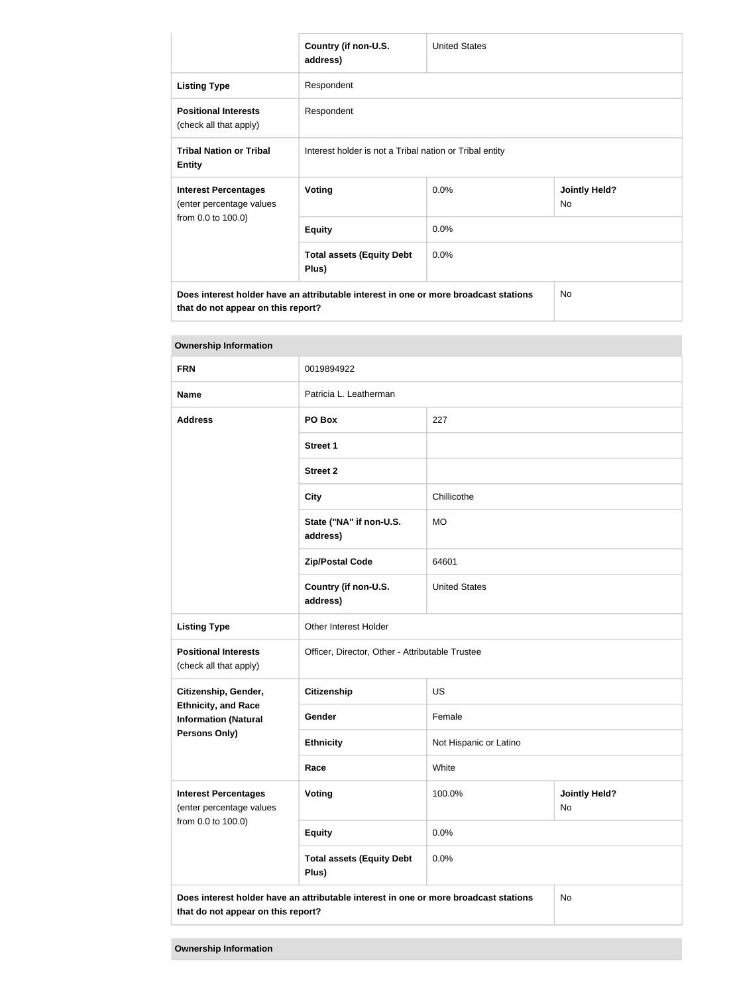|                                                                                      | Country (if non-U.S.<br>address)                        | <b>United States</b> |                            |
|--------------------------------------------------------------------------------------|---------------------------------------------------------|----------------------|----------------------------|
| <b>Listing Type</b>                                                                  | Respondent                                              |                      |                            |
| <b>Positional Interests</b><br>(check all that apply)                                | Respondent                                              |                      |                            |
| <b>Tribal Nation or Tribal</b><br><b>Entity</b>                                      | Interest holder is not a Tribal nation or Tribal entity |                      |                            |
| <b>Interest Percentages</b><br>(enter percentage values<br>from 0.0 to 100.0)        | Voting                                                  | 0.0%                 | <b>Jointly Held?</b><br>No |
|                                                                                      | <b>Equity</b>                                           | 0.0%                 |                            |
|                                                                                      | <b>Total assets (Equity Debt</b><br>Plus)               | $0.0\%$              |                            |
| Does interest holder have an attributable interest in one or more broadcast stations |                                                         |                      | <b>No</b>                  |

**that do not appear on this report?**

| <b>Ownership Information</b>                                                                                               |                                                 |                        |                            |  |
|----------------------------------------------------------------------------------------------------------------------------|-------------------------------------------------|------------------------|----------------------------|--|
| <b>FRN</b>                                                                                                                 | 0019894922                                      |                        |                            |  |
| <b>Name</b>                                                                                                                | Patricia L. Leatherman                          |                        |                            |  |
| <b>Address</b>                                                                                                             | PO Box                                          | 227                    |                            |  |
|                                                                                                                            | <b>Street 1</b>                                 |                        |                            |  |
|                                                                                                                            | <b>Street 2</b>                                 |                        |                            |  |
|                                                                                                                            | <b>City</b>                                     | Chillicothe            |                            |  |
|                                                                                                                            | State ("NA" if non-U.S.<br>address)             | <b>MO</b>              |                            |  |
|                                                                                                                            | <b>Zip/Postal Code</b>                          | 64601                  |                            |  |
|                                                                                                                            | Country (if non-U.S.<br>address)                | <b>United States</b>   |                            |  |
| <b>Listing Type</b>                                                                                                        | Other Interest Holder                           |                        |                            |  |
| <b>Positional Interests</b><br>(check all that apply)                                                                      | Officer, Director, Other - Attributable Trustee |                        |                            |  |
| Citizenship, Gender,                                                                                                       | <b>Citizenship</b>                              | <b>US</b>              |                            |  |
| <b>Ethnicity, and Race</b><br><b>Information (Natural</b>                                                                  | Gender                                          | Female                 |                            |  |
| Persons Only)                                                                                                              | <b>Ethnicity</b>                                | Not Hispanic or Latino |                            |  |
|                                                                                                                            | Race                                            | White                  |                            |  |
| <b>Interest Percentages</b><br>(enter percentage values                                                                    | <b>Voting</b>                                   | 100.0%                 | <b>Jointly Held?</b><br>No |  |
| from 0.0 to 100.0)                                                                                                         | <b>Equity</b>                                   | 0.0%                   |                            |  |
|                                                                                                                            | <b>Total assets (Equity Debt</b><br>Plus)       | 0.0%                   |                            |  |
| Does interest holder have an attributable interest in one or more broadcast stations<br>that do not appear on this report? |                                                 |                        | <b>No</b>                  |  |

**Ownership Information**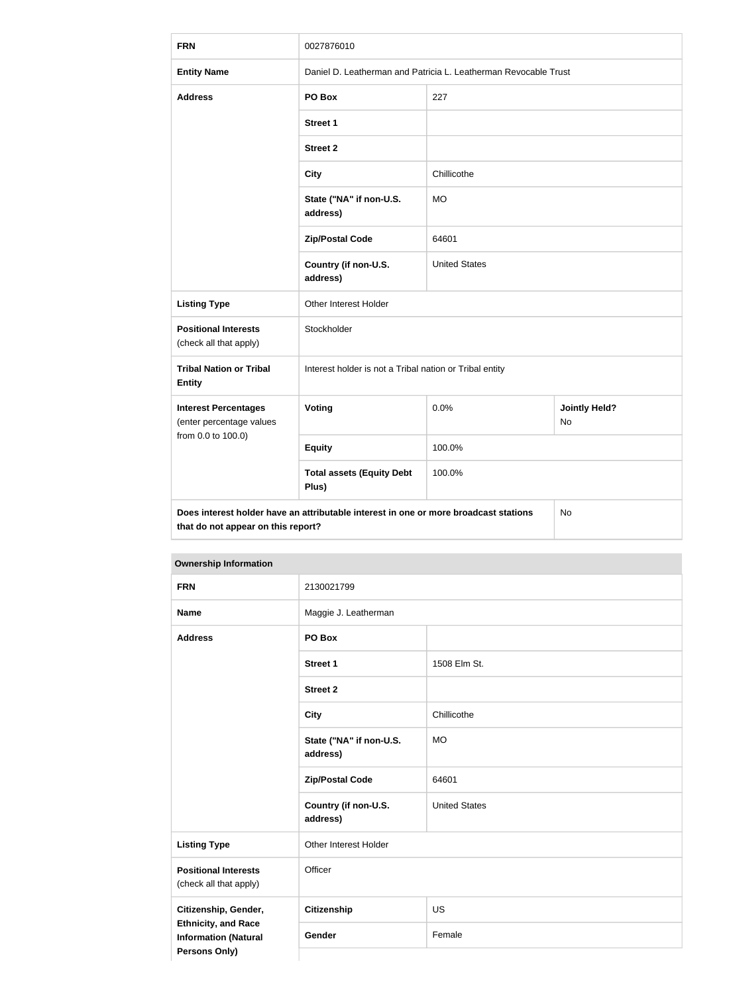| <b>FRN</b>                                                                                                                       | 0027876010                                                      |                      |                            |  |
|----------------------------------------------------------------------------------------------------------------------------------|-----------------------------------------------------------------|----------------------|----------------------------|--|
| <b>Entity Name</b>                                                                                                               | Daniel D. Leatherman and Patricia L. Leatherman Revocable Trust |                      |                            |  |
| <b>Address</b>                                                                                                                   | PO Box                                                          | 227                  |                            |  |
|                                                                                                                                  | <b>Street 1</b>                                                 |                      |                            |  |
|                                                                                                                                  | <b>Street 2</b>                                                 |                      |                            |  |
|                                                                                                                                  | <b>City</b>                                                     | Chillicothe          |                            |  |
|                                                                                                                                  | State ("NA" if non-U.S.<br>address)                             | <b>MO</b>            |                            |  |
|                                                                                                                                  | <b>Zip/Postal Code</b>                                          | 64601                |                            |  |
|                                                                                                                                  | Country (if non-U.S.<br>address)                                | <b>United States</b> |                            |  |
| <b>Listing Type</b>                                                                                                              | Other Interest Holder                                           |                      |                            |  |
| <b>Positional Interests</b><br>(check all that apply)                                                                            | Stockholder                                                     |                      |                            |  |
| <b>Tribal Nation or Tribal</b><br><b>Entity</b>                                                                                  | Interest holder is not a Tribal nation or Tribal entity         |                      |                            |  |
| <b>Interest Percentages</b><br>(enter percentage values<br>from 0.0 to 100.0)                                                    | Voting                                                          | 0.0%                 | <b>Jointly Held?</b><br>No |  |
|                                                                                                                                  | <b>Equity</b>                                                   | 100.0%               |                            |  |
|                                                                                                                                  | <b>Total assets (Equity Debt</b><br>Plus)                       | 100.0%               |                            |  |
| Does interest holder have an attributable interest in one or more broadcast stations<br>No<br>that do not appear on this report? |                                                                 |                      |                            |  |

| <b>Ownership Information</b>                                                                       |                                     |                      |  |
|----------------------------------------------------------------------------------------------------|-------------------------------------|----------------------|--|
| <b>FRN</b>                                                                                         | 2130021799                          |                      |  |
| <b>Name</b>                                                                                        | Maggie J. Leatherman                |                      |  |
| <b>Address</b>                                                                                     | PO Box                              |                      |  |
|                                                                                                    | <b>Street 1</b>                     | 1508 Elm St.         |  |
|                                                                                                    | <b>Street 2</b>                     |                      |  |
|                                                                                                    | <b>City</b>                         | Chillicothe          |  |
|                                                                                                    | State ("NA" if non-U.S.<br>address) | <b>MO</b>            |  |
|                                                                                                    | <b>Zip/Postal Code</b>              | 64601                |  |
|                                                                                                    | Country (if non-U.S.<br>address)    | <b>United States</b> |  |
| <b>Listing Type</b>                                                                                | Other Interest Holder               |                      |  |
| <b>Positional Interests</b><br>(check all that apply)                                              | Officer                             |                      |  |
| Citizenship, Gender,<br><b>Ethnicity, and Race</b><br><b>Information (Natural</b><br>Persons Only) | <b>Citizenship</b>                  | <b>US</b>            |  |
|                                                                                                    | Gender                              | Female               |  |
|                                                                                                    |                                     |                      |  |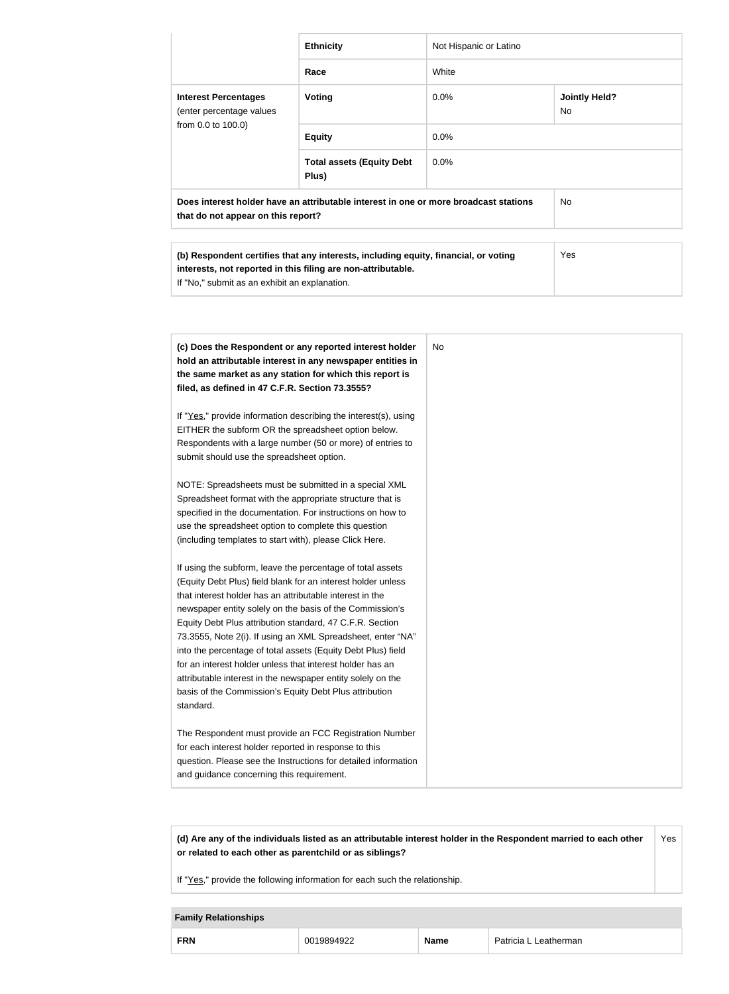|                                                                                                                                                                                                                                                                                                                                                                                                                                                                                                                                                                                                   | <b>Ethnicity</b>                                                                                                                                                                                                                                                                                                                                                                                                                                                                                                                                                                                                                                                                                                                                                                                                               | Not Hispanic or Latino |                            |
|---------------------------------------------------------------------------------------------------------------------------------------------------------------------------------------------------------------------------------------------------------------------------------------------------------------------------------------------------------------------------------------------------------------------------------------------------------------------------------------------------------------------------------------------------------------------------------------------------|--------------------------------------------------------------------------------------------------------------------------------------------------------------------------------------------------------------------------------------------------------------------------------------------------------------------------------------------------------------------------------------------------------------------------------------------------------------------------------------------------------------------------------------------------------------------------------------------------------------------------------------------------------------------------------------------------------------------------------------------------------------------------------------------------------------------------------|------------------------|----------------------------|
|                                                                                                                                                                                                                                                                                                                                                                                                                                                                                                                                                                                                   | Race                                                                                                                                                                                                                                                                                                                                                                                                                                                                                                                                                                                                                                                                                                                                                                                                                           | White                  |                            |
| <b>Interest Percentages</b><br>(enter percentage values                                                                                                                                                                                                                                                                                                                                                                                                                                                                                                                                           | <b>Voting</b>                                                                                                                                                                                                                                                                                                                                                                                                                                                                                                                                                                                                                                                                                                                                                                                                                  | 0.0%                   | <b>Jointly Held?</b><br>No |
| from 0.0 to 100.0)                                                                                                                                                                                                                                                                                                                                                                                                                                                                                                                                                                                | <b>Equity</b>                                                                                                                                                                                                                                                                                                                                                                                                                                                                                                                                                                                                                                                                                                                                                                                                                  | 0.0%                   |                            |
|                                                                                                                                                                                                                                                                                                                                                                                                                                                                                                                                                                                                   | <b>Total assets (Equity Debt</b><br>Plus)                                                                                                                                                                                                                                                                                                                                                                                                                                                                                                                                                                                                                                                                                                                                                                                      | 0.0%                   |                            |
| that do not appear on this report?                                                                                                                                                                                                                                                                                                                                                                                                                                                                                                                                                                | Does interest holder have an attributable interest in one or more broadcast stations                                                                                                                                                                                                                                                                                                                                                                                                                                                                                                                                                                                                                                                                                                                                           |                        | No                         |
| If "No," submit as an exhibit an explanation.                                                                                                                                                                                                                                                                                                                                                                                                                                                                                                                                                     | (b) Respondent certifies that any interests, including equity, financial, or voting<br>interests, not reported in this filing are non-attributable.                                                                                                                                                                                                                                                                                                                                                                                                                                                                                                                                                                                                                                                                            |                        | Yes                        |
| filed, as defined in 47 C.F.R. Section 73.3555?<br>EITHER the subform OR the spreadsheet option below.<br>submit should use the spreadsheet option.<br>use the spreadsheet option to complete this question<br>(including templates to start with), please Click Here.<br>that interest holder has an attributable interest in the<br>Equity Debt Plus attribution standard, 47 C.F.R. Section<br>for an interest holder unless that interest holder has an<br>attributable interest in the newspaper entity solely on the<br>basis of the Commission's Equity Debt Plus attribution<br>standard. | (c) Does the Respondent or any reported interest holder<br>hold an attributable interest in any newspaper entities in<br>the same market as any station for which this report is<br>If "Yes," provide information describing the interest(s), using<br>Respondents with a large number (50 or more) of entries to<br>NOTE: Spreadsheets must be submitted in a special XML<br>Spreadsheet format with the appropriate structure that is<br>specified in the documentation. For instructions on how to<br>If using the subform, leave the percentage of total assets<br>(Equity Debt Plus) field blank for an interest holder unless<br>newspaper entity solely on the basis of the Commission's<br>73.3555, Note 2(i). If using an XML Spreadsheet, enter "NA"<br>into the percentage of total assets (Equity Debt Plus) field | <b>No</b>              |                            |
| for each interest holder reported in response to this<br>and guidance concerning this requirement.                                                                                                                                                                                                                                                                                                                                                                                                                                                                                                | The Respondent must provide an FCC Registration Number<br>question. Please see the Instructions for detailed information                                                                                                                                                                                                                                                                                                                                                                                                                                                                                                                                                                                                                                                                                                       |                        |                            |

**(d) Are any of the individuals listed as an attributable interest holder in the Respondent married to each other or related to each other as parentchild or as siblings?** Yes

If "Yes," provide the following information for each such the relationship.

# **Family Relationships FRN** 0019894922 **Name** Patricia L Leatherman